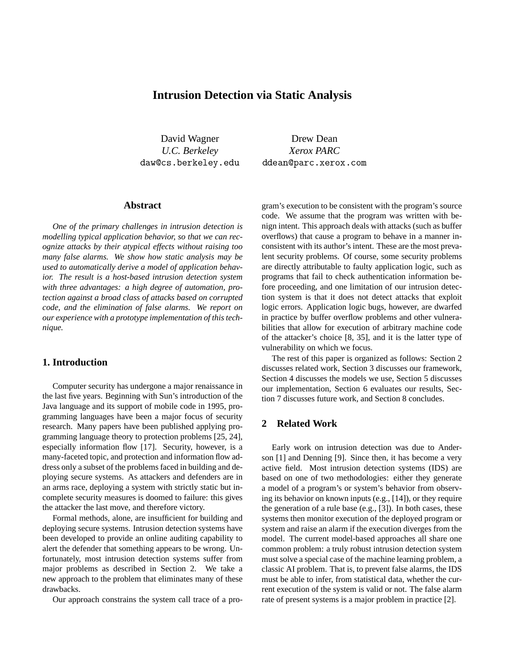# **Intrusion Detection via Static Analysis**

David Wagner *U.C. Berkeley* . . . . . . .

 Drew Dean *Xerox PARC*

## **Abstract**

*One of the primary challenges in intrusion detection is modelling typical application behavior, so that we can recognize attacks by their atypical effects without raising too many false alarms. We show how static analysis may be used to automatically derive a model of application behavior. The result is a host-based intrusion detection system with three advantages: a high degree of automation, protection against a broad class of attacks based on corrupted code, and the elimination of false alarms. We report on our experience with a prototype implementation of this technique.*

## **1. Introduction**

Computer security has undergone a major renaissance in the last five years. Beginning with Sun's introduction of the Java language and its support of mobile code in 1995, programming languages have been a major focus of security research. Many papers have been published applying programming language theory to protection problems [25, 24], especially information flow [17]. Security, however, is a many-faceted topic, and protection and information flow address only a subset of the problems faced in building and deploying secure systems. As attackers and defenders are in an arms race, deploying a system with strictly static but incomplete security measures is doomed to failure: this gives the attacker the last move, and therefore victory.

Formal methods, alone, are insufficient for building and deploying secure systems. Intrusion detection systems have been developed to provide an online auditing capability to alert the defender that something appears to be wrong. Unfortunately, most intrusion detection systems suffer from major problems as described in Section 2. We take a new approach to the problem that eliminates many of these drawbacks.

Our approach constrains the system call trace of a pro-

gram's execution to be consistent with the program's source code. We assume that the program was written with benign intent. This approach deals with attacks (such as buffer overflows) that cause a program to behave in a manner inconsistent with its author's intent. These are the most prevalent security problems. Of course, some security problems are directly attributable to faulty application logic, such as programs that fail to check authentication information before proceeding, and one limitation of our intrusion detection system is that it does not detect attacks that exploit logic errors. Application logic bugs, however, are dwarfed in practice by buffer overflow problems and other vulnerabilities that allow for execution of arbitrary machine code of the attacker's choice [8, 35], and it is the latter type of vulnerability on which we focus.

The rest of this paper is organized as follows: Section 2 discusses related work, Section 3 discusses our framework, Section 4 discusses the models we use, Section 5 discusses our implementation, Section 6 evaluates our results, Section 7 discusses future work, and Section 8 concludes.

## **2 Related Work**

Early work on intrusion detection was due to Anderson [1] and Denning [9]. Since then, it has become a very active field. Most intrusion detection systems (IDS) are based on one of two methodologies: either they generate a model of a program's or system's behavior from observing its behavior on known inputs (e.g., [14]), or they require the generation of a rule base (e.g., [3]). In both cases, these systems then monitor execution of the deployed program or system and raise an alarm if the execution diverges from the model. The current model-based approaches all share one common problem: a truly robust intrusion detection system must solve a special case of the machine learning problem, a classic AI problem. That is, to prevent false alarms, the IDS must be able to infer, from statistical data, whether the current execution of the system is valid or not. The false alarm rate of present systems is a major problem in practice [2].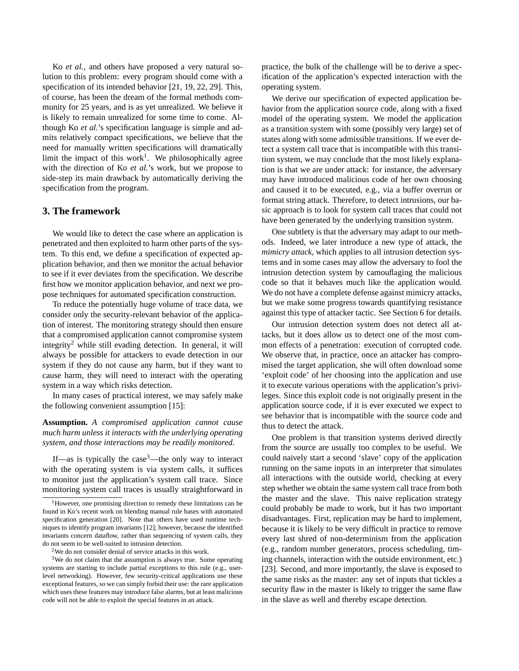Ko *et al.*, and others have proposed a very natural solution to this problem: every program should come with a specification of its intended behavior [21, 19, 22, 29]. This, of course, has been the dream of the formal methods community for 25 years, and is as yet unrealized. We believe it is likely to remain unrealized for some time to come. Although Ko *et al.*'s specification language is simple and admits relatively compact specifications, we believe that the need for manually written specifications will dramatically limit the impact of this work<sup>1</sup>. We philosophically agree with the direction of Ko *et al.*'s work, but we propose to side-step its main drawback by automatically deriving the specification from the program.

### **3. The framework**

We would like to detect the case where an application is penetrated and then exploited to harm other parts of the system. To this end, we define a specification of expected application behavior, and then we monitor the actual behavior to see if it ever deviates from the specification. We describe first how we monitor application behavior, and next we propose techniques for automated specification construction.

To reduce the potentially huge volume of trace data, we consider only the security-relevant behavior of the application of interest. The monitoring strategy should then ensure that a compromised application cannot compromise system integrity<sup>2</sup> while still evading detection. In general, it will always be possible for attackers to evade detection in our system if they do not cause any harm, but if they want to cause harm, they will need to interact with the operating system in a way which risks detection.

In many cases of practical interest, we may safely make the following convenient assumption [15]:

**Assumption.** *A compromised application cannot cause much harm unless it interacts with the underlying operating system, and those interactions may be readily monitored.*

If—as is typically the case<sup>3</sup>—the only way to interact with the operating system is via system calls, it suffices to monitor just the application's system call trace. Since monitoring system call traces is usually straightforward in

practice, the bulk of the challenge will be to derive a specification of the application's expected interaction with the operating system.

We derive our specification of expected application behavior from the application source code, along with a fixed model of the operating system. We model the application as a transition system with some (possibly very large) set of states along with some admissible transitions. If we ever detect a system call trace that is incompatible with this transition system, we may conclude that the most likely explanation is that we are under attack: for instance, the adversary may have introduced malicious code of her own choosing and caused it to be executed, e.g., via a buffer overrun or format string attack. Therefore, to detect intrusions, our basic approach is to look for system call traces that could not have been generated by the underlying transition system.

One subtlety is that the adversary may adapt to our methods. Indeed, we later introduce a new type of attack, the *mimicry attack*, which applies to all intrusion detection systems and in some cases may allow the adversary to fool the intrusion detection system by camouflaging the malicious code so that it behaves much like the application would. We do not have a complete defense against mimicry attacks, but we make some progress towards quantifying resistance against this type of attacker tactic. See Section 6 for details.

Our intrusion detection system does not detect all attacks, but it does allow us to detect one of the most common effects of a penetration: execution of corrupted code. We observe that, in practice, once an attacker has compromised the target application, she will often download some 'exploit code' of her choosing into the application and use it to execute various operations with the application's privileges. Since this exploit code is not originally present in the application source code, if it is ever executed we expect to see behavior that is incompatible with the source code and thus to detect the attack.

One problem is that transition systems derived directly from the source are usually too complex to be useful. We could naively start a second 'slave' copy of the application running on the same inputs in an interpreter that simulates all interactions with the outside world, checking at every step whether we obtain the same system call trace from both the master and the slave. This naive replication strategy could probably be made to work, but it has two important disadvantages. First, replication may be hard to implement, because it is likely to be very difficult in practice to remove every last shred of non-determinism from the application (e.g., random number generators, process scheduling, timing channels, interaction with the outside environment, etc.) [23]. Second, and more importantly, the slave is exposed to the same risks as the master: any set of inputs that tickles a security flaw in the master is likely to trigger the same flaw in the slave as well and thereby escape detection.

<sup>1</sup>However, one promising direction to remedy these limitations can be found in Ko's recent work on blending manual rule bases with automated specification generation [20]. Note that others have used runtime techniques to identify program invariants [12]; however, because the identified invariants concern dataflow, rather than sequencing of system calls, they do not seem to be well-suited to intrusion detection.

<sup>&</sup>lt;sup>2</sup>We do not consider denial of service attacks in this work.

<sup>&</sup>lt;sup>3</sup>We do not claim that the assumption is always true. Some operating systems are starting to include partial exceptions to this rule (e.g., userlevel networking). However, few security-critical applications use these exceptional features, so we can simply forbid their use: the rare application which uses these features may introduce false alarms, but at least malicious code will not be able to exploit the special features in an attack.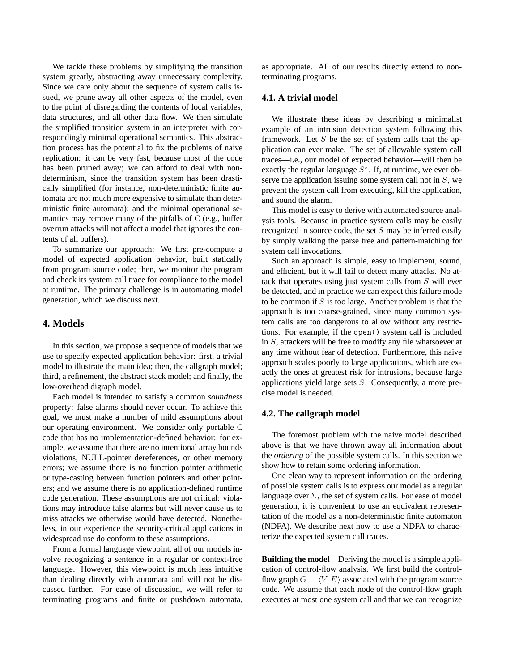We tackle these problems by simplifying the transition system greatly, abstracting away unnecessary complexity. Since we care only about the sequence of system calls issued, we prune away all other aspects of the model, even to the point of disregarding the contents of local variables, data structures, and all other data flow. We then simulate the simplified transition system in an interpreter with correspondingly minimal operational semantics. This abstraction process has the potential to fix the problems of naive replication: it can be very fast, because most of the code has been pruned away; we can afford to deal with nondeterminism, since the transition system has been drastically simplified (for instance, non-deterministic finite automata are not much more expensive to simulate than deterministic finite automata); and the minimal operational semantics may remove many of the pitfalls of C (e.g., buffer overrun attacks will not affect a model that ignores the contents of all buffers).

To summarize our approach: We first pre-compute a model of expected application behavior, built statically from program source code; then, we monitor the program and check its system call trace for compliance to the model at runtime. The primary challenge is in automating model generation, which we discuss next.

## **4. Models**

In this section, we propose a sequence of models that we use to specify expected application behavior: first, a trivial model to illustrate the main idea; then, the callgraph model; third, a refinement, the abstract stack model; and finally, the low-overhead digraph model.

Each model is intended to satisfy a common *soundness* property: false alarms should never occur. To achieve this goal, we must make a number of mild assumptions about our operating environment. We consider only portable C code that has no implementation-defined behavior: for example, we assume that there are no intentional array bounds violations, NULL-pointer dereferences, or other memory errors; we assume there is no function pointer arithmetic or type-casting between function pointers and other pointers; and we assume there is no application-defined runtime code generation. These assumptions are not critical: violations may introduce false alarms but will never cause us to miss attacks we otherwise would have detected. Nonetheless, in our experience the security-critical applications in widespread use do conform to these assumptions.

From a formal language viewpoint, all of our models involve recognizing a sentence in a regular or context-free language. However, this viewpoint is much less intuitive than dealing directly with automata and will not be discussed further. For ease of discussion, we will refer to terminating programs and finite or pushdown automata, as appropriate. All of our results directly extend to nonterminating programs.

#### **4.1. A trivial model**

We illustrate these ideas by describing a minimalist example of an intrusion detection system following this framework. Let  $S$  be the set of system calls that the application can ever make. The set of allowable system call traces—i.e., our model of expected behavior—will then be exactly the regular language  $S^*$ . If, at runtime, we ever observe the application issuing some system call not in  $S$ , we prevent the system call from executing, kill the application, and sound the alarm.

This model is easy to derive with automated source analysis tools. Because in practice system calls may be easily recognized in source code, the set  $S$  may be inferred easily by simply walking the parse tree and pattern-matching for system call invocations.

Such an approach is simple, easy to implement, sound, and efficient, but it will fail to detect many attacks. No attack that operates using just system calls from  $S$  will ever be detected, and in practice we can expect this failure mode to be common if  $S$  is too large. Another problem is that the approach is too coarse-grained, since many common system calls are too dangerous to allow without any restrictions. For example, if the  $open()$  system call is included in  $S$ , attackers will be free to modify any file whatsoever at any time without fear of detection. Furthermore, this naive approach scales poorly to large applications, which are exactly the ones at greatest risk for intrusions, because large applications yield large sets  $S$ . Consequently, a more precise model is needed.

## **4.2. The callgraph model**

The foremost problem with the naive model described above is that we have thrown away all information about the *ordering* of the possible system calls. In this section we show how to retain some ordering information.

One clean way to represent information on the ordering of possible system calls is to express our model as a regular language over  $\Sigma$ , the set of system calls. For ease of model generation, it is convenient to use an equivalent representation of the model as a non-deterministic finite automaton (NDFA). We describe next how to use a NDFA to characterize the expected system call traces.

**Building the model** Deriving the model is a simple application of control-flow analysis. We first build the controlflow graph  $G = \langle V, E \rangle$  associated with the program source code. We assume that each node of the control-flow graph executes at most one system call and that we can recognize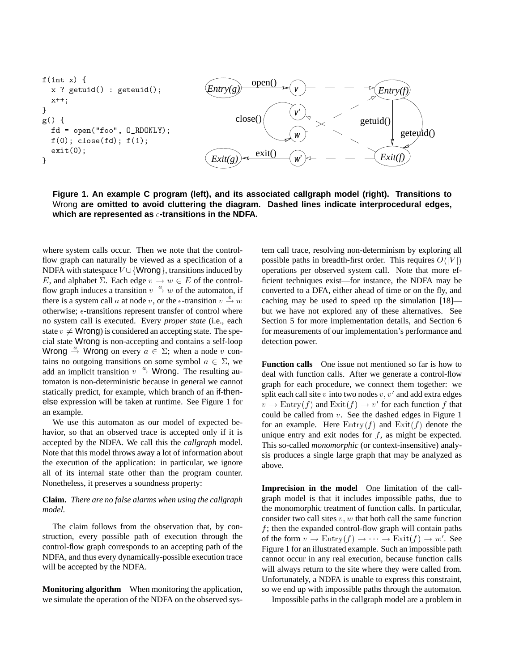```
f(int x) {
   \blacksquare;%H%H-
G
\mathbf{I}g() {
  fd = open("foo", 0_RDOMLY);\mathtt{f}\left(0\right); close(\mathtt{fd}); \mathtt{f}\left(1\right);
  exit(0);\mathbf{I}
```


**Figure 1. An example C program (left), and its associated callgraph model (right). Transitions to** Wrong **are omitted to avoid cluttering the diagram. Dashed lines indicate interprocedural edges, which are represented as** a**-transitions in the NDFA.**

where system calls occur. Then we note that the controlflow graph can naturally be viewed as a specification of a NDFA with statespace  $V \cup \{W\}$  transitions induced by E, and alphabet  $\Sigma$ . Each edge  $v \to w \in E$  of the controlflow graph induces a transition  $v \stackrel{a}{\rightarrow} w$  of the automaton, if there is a system call a at node v, or the  $\epsilon$ -transition  $v \stackrel{\epsilon}{\rightarrow} w$ otherwise;  $\epsilon$ -transitions represent transfer of control where no system call is executed. Every *proper state* (i.e., each state  $v \neq$  Wrong) is considered an accepting state. The special state Wrong is non-accepting and contains a self-loop Wrong  $\stackrel{a}{\rightarrow}$  Wrong on every  $a \in \Sigma$ ; when a node v contains no outgoing transitions on some symbol  $a \in \Sigma$ , we add an implicit transition  $v \stackrel{a}{\rightarrow} W$ rong. The resulting automaton is non-deterministic because in general we cannot statically predict, for example, which branch of an if-thenelse expression will be taken at runtime. See Figure 1 for an example.

We use this automaton as our model of expected behavior, so that an observed trace is accepted only if it is accepted by the NDFA. We call this the *callgraph* model. Note that this model throws away a lot of information about the execution of the application: in particular, we ignore all of its internal state other than the program counter. Nonetheless, it preserves a soundness property:

#### **Claim.** *There are no false alarms when using the callgraph model.*

The claim follows from the observation that, by construction, every possible path of execution through the control-flow graph corresponds to an accepting path of the NDFA, and thus every dynamically-possible execution trace will be accepted by the NDFA.

**Monitoring algorithm** When monitoring the application, we simulate the operation of the NDFA on the observed system call trace, resolving non-determinism by exploring all possible paths in breadth-first order. This requires  $O(|V|)$ operations per observed system call. Note that more efficient techniques exist—for instance, the NDFA may be converted to a DFA, either ahead of time or on the fly, and caching may be used to speed up the simulation [18] but we have not explored any of these alternatives. See Section 5 for more implementation details, and Section 6 for measurements of our implementation's performance and detection power.

**Function calls** One issue not mentioned so far is how to deal with function calls. After we generate a control-flow graph for each procedure, we connect them together: we split each call site v into two nodes  $v, v'$  and add extra edges  $v \to \text{Entry}(f)$  and  $\text{Exit}(f) \to v'$  for each function f that could be called from  $v$ . See the dashed edges in Figure 1 for an example. Here  $\text{Entry}(f)$  and  $\text{Exit}(f)$  denote the unique entry and exit nodes for  $f$ , as might be expected. This so-called *monomorphic* (or context-insensitive) analysis produces a single large graph that may be analyzed as above.

**Imprecision in the model** One limitation of the callgraph model is that it includes impossible paths, due to the monomorphic treatment of function calls. In particular, consider two call sites  $v, w$  that both call the same function  $f$ ; then the expanded control-flow graph will contain paths of the form  $v \to \text{Entry}(f) \to \cdots \to \text{Exit}(f) \to w'$ . See Figure 1 for an illustrated example. Such an impossible path cannot occur in any real execution, because function calls will always return to the site where they were called from. Unfortunately, a NDFA is unable to express this constraint, so we end up with impossible paths through the automaton.

Impossible paths in the callgraph model are a problem in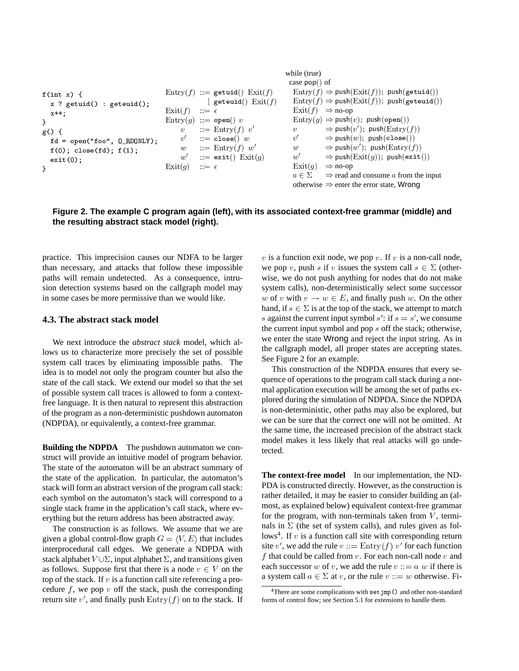```
f(int x) {
   x ? getuid() : geteuid();
   x++;
©
g() {
   `¡«ª>¬¤%¤
¯®¬`¬®%°²±`³¯´`µ¶±+·`¸¹¦¥
   f(0); close(fd); f(1);
   ext(0);©
                                             Â
ÃÄWÅWÆÈÇÉÊzËyËÍÌ + +¡ÇWÊÎÂÐϨÑyÄ+ÇÉÊ
                                                            Ò +¤ +¡ÇÀÊÎÂÐÏÑÍÄ+ÇÉÊ
                                             Â
ÏÑyįÇÉÊÓËyËÍÌÕÔ
                                             Â
ÃÄWÅWÆÈÇ×ÖÊOËyËÍÌ ¬¤%¤ÇWÊ<Ø
                                                  v \cdots \equiv Entry(f) v'\mathcal{N}w \cdots \equiv Entry(f) w'Ŭ ËyË∕Ë, TUNIT E LINING E LINING E LINING E LINING E LINING E LINING E LINING E LINING E LINING E LINING E LIN
                                            Exit(g)\Xi=\epsilonwhile (true)
                                                                                         case pop() of
                                                                                           \text{Entry}(f) \Rightarrow \text{push}(\text{Exit}(f)): push(getuid())
                                                                                           \text{Entry}(f) \Rightarrow \text{push}(\text{Exit}(f)): push(geteuid())
                                                                                           \text{Exit}(f) \Rightarrow \text{no-op}\text{Entry}(a) \Rightarrow \text{push}(v): push(open())
                                                                                           v \Rightarrow \text{push}(v'): push(Entry(f))
                                                                                           v' \Rightarrow \text{push}(w): push(close())
                                                                                           w \Rightarrow \mathsf{push}(w'): push(Entry(f))
                                                                                           w' \Rightarrow push(\text{Exit}(a)): push(exit())
                                                                                           \text{Exit}(g) \Rightarrow \text{no-op}a \in \Sigma \Rightarrow read and consume a from the input
                                                                                           otherwise \Rightarrow enter the error state, Wrong
```
### **Figure 2. The example C program again (left), with its associated context-free grammar (middle) and the resulting abstract stack model (right).**

practice. This imprecision causes our NDFA to be larger than necessary, and attacks that follow these impossible paths will remain undetected. As a consequence, intrusion detection systems based on the callgraph model may in some cases be more permissive than we would like.

#### **4.3. The abstract stack model**

We next introduce the *abstract stack* model, which allows us to characterize more precisely the set of possible system call traces by eliminating impossible paths. The idea is to model not only the program counter but also the state of the call stack. We extend our model so that the set of possible system call traces is allowed to form a contextfree language. It is then natural to represent this abstraction of the program as a non-deterministic pushdown automaton (NDPDA), or equivalently, a context-free grammar.

**Building the NDPDA** The pushdown automaton we construct will provide an intuitive model of program behavior. The state of the automaton will be an abstract summary of the state of the application. In particular, the automaton's stack will form an abstract version of the program call stack: each symbol on the automaton's stack will correspond to a single stack frame in the application's call stack, where everything but the return address has been abstracted away.

The construction is as follows. We assume that we are given a global control-flow graph  $G = \langle V, E \rangle$  that includes interprocedural call edges. We generate a NDPDA with stack alphabet  $V \cup \Sigma$ , input alphabet  $\Sigma$ , and transitions given as follows. Suppose first that there is a node  $v \in V$  on the top of the stack. If  $v$  is a function call site referencing a procedure  $f$ , we pop  $v$  off the stack, push the corresponding return site  $v'$ , and finally push  $\text{Entry}(f)$  on to the stack. If

v is a function exit node, we pop v. If v is a non-call node, we pop v, push s if v issues the system call  $s \in \Sigma$  (otherwise, we do not push anything for nodes that do not make system calls), non-deterministically select some successor w of v with  $v \to w \in E$ , and finally push w. On the other hand, if  $s \in \Sigma$  is at the top of the stack, we attempt to match s against the current input symbol  $s'$ : if  $s = s'$ , we consume the current input symbol and pop  $s$  off the stack; otherwise, we enter the state Wrong and reject the input string. As in the callgraph model, all proper states are accepting states. See Figure 2 for an example.

This construction of the NDPDA ensures that every sequence of operations to the program call stack during a normal application execution will be among the set of paths explored during the simulation of NDPDA. Since the NDPDA is non-deterministic, other paths may also be explored, but we can be sure that the correct one will not be omitted. At the same time, the increased precision of the abstract stack model makes it less likely that real attacks will go undetected.

**The context-free model** In our implementation, the ND-PDA is constructed directly. However, as the construction is rather detailed, it may be easier to consider building an (almost, as explained below) equivalent context-free grammar for the program, with non-terminals taken from  $V$ , terminals in  $\Sigma$  (the set of system calls), and rules given as follows<sup>4</sup>. If  $v$  is a function call site with corresponding return site v', we add the rule  $v ::=$   $\text{Entry}(f)$  v' for each function f that could be called from  $v$ . For each non-call node  $v$  and each successor w of v, we add the rule  $v ::= a$  w if there is a system call  $a \in \Sigma$  at v, or the rule  $v ::= w$  otherwise. Fi-

<sup>&</sup>lt;sup>4</sup>There are some complications with  $set_jmp()$  and other non-standard forms of control flow; see Section 5.1 for extensions to handle them.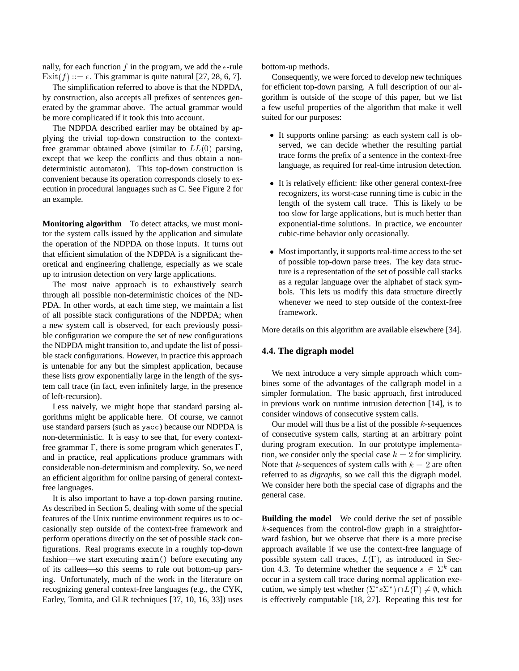nally, for each function f in the program, we add the  $\epsilon$ -rule  $Exit(f) ::= \epsilon$ . This grammar is quite natural [27, 28, 6, 7].

The simplification referred to above is that the NDPDA, by construction, also accepts all prefixes of sentences generated by the grammar above. The actual grammar would be more complicated if it took this into account.

The NDPDA described earlier may be obtained by applying the trivial top-down construction to the contextfree grammar obtained above (similar to  $LL(0)$  parsing, except that we keep the conflicts and thus obtain a nondeterministic automaton). This top-down construction is convenient because its operation corresponds closely to execution in procedural languages such as C. See Figure 2 for an example.

**Monitoring algorithm** To detect attacks, we must monitor the system calls issued by the application and simulate the operation of the NDPDA on those inputs. It turns out that efficient simulation of the NDPDA is a significant theoretical and engineering challenge, especially as we scale up to intrusion detection on very large applications.

The most naive approach is to exhaustively search through all possible non-deterministic choices of the ND-PDA. In other words, at each time step, we maintain a list of all possible stack configurations of the NDPDA; when a new system call is observed, for each previously possible configuration we compute the set of new configurations the NDPDA might transition to, and update the list of possible stack configurations. However, in practice this approach is untenable for any but the simplest application, because these lists grow exponentially large in the length of the system call trace (in fact, even infinitely large, in the presence of left-recursion).

Less naively, we might hope that standard parsing algorithms might be applicable here. Of course, we cannot use standard parsers (such as yacc) because our NDPDA is non-deterministic. It is easy to see that, for every contextfree grammar  $\Gamma$ , there is some program which generates  $\Gamma$ , and in practice, real applications produce grammars with considerable non-determinism and complexity. So, we need an efficient algorithm for online parsing of general contextfree languages.

It is also important to have a top-down parsing routine. As described in Section 5, dealing with some of the special features of the Unix runtime environment requires us to occasionally step outside of the context-free framework and perform operations directly on the set of possible stack configurations. Real programs execute in a roughly top-down fashion—we start executing main() before executing any of its callees—so this seems to rule out bottom-up parsing. Unfortunately, much of the work in the literature on recognizing general context-free languages (e.g., the CYK, Earley, Tomita, and GLR techniques [37, 10, 16, 33]) uses bottom-up methods.

Consequently, we were forced to develop new techniques for efficient top-down parsing. A full description of our algorithm is outside of the scope of this paper, but we list a few useful properties of the algorithm that make it well suited for our purposes:

- It supports online parsing: as each system call is observed, we can decide whether the resulting partial trace forms the prefix of a sentence in the context-free language, as required for real-time intrusion detection.
- It is relatively efficient: like other general context-free recognizers, its worst-case running time is cubic in the length of the system call trace. This is likely to be too slow for large applications, but is much better than exponential-time solutions. In practice, we encounter cubic-time behavior only occasionally.
- Most importantly, it supports real-time access to the set of possible top-down parse trees. The key data structure is a representation of the set of possible call stacks as a regular language over the alphabet of stack symbols. This lets us modify this data structure directly whenever we need to step outside of the context-free framework.

More details on this algorithm are available elsewhere [34].

#### **4.4. The digraph model**

We next introduce a very simple approach which combines some of the advantages of the callgraph model in a simpler formulation. The basic approach, first introduced in previous work on runtime intrusion detection [14], is to consider windows of consecutive system calls.

Our model will thus be a list of the possible  $k$ -sequences of consecutive system calls, starting at an arbitrary point during program execution. In our prototype implementation, we consider only the special case  $k = 2$  for simplicity. Note that k-sequences of system calls with  $k = 2$  are often referred to as *digraphs*, so we call this the digraph model. We consider here both the special case of digraphs and the general case.

**Building the model** We could derive the set of possible  $k$ -sequences from the control-flow graph in a straightforward fashion, but we observe that there is a more precise approach available if we use the context-free language of possible system call traces,  $L(\Gamma)$ , as introduced in Section 4.3. To determine whether the sequence  $s \in \Sigma^k$  can occur in a system call trace during normal application execution, we simply test whether  $(\Sigma^* s \Sigma^*) \cap L(\Gamma) \neq \emptyset$ , which is effectively computable [18, 27]. Repeating this test for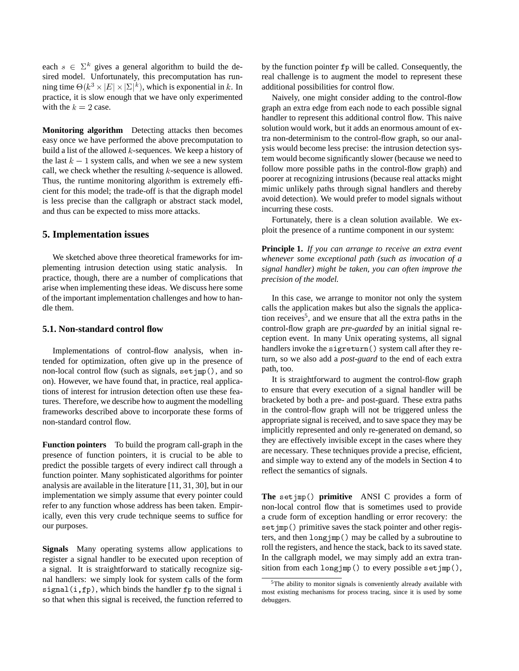each  $s \in \Sigma^k$  gives a general algorithm to build the desired model. Unfortunately, this precomputation has running time  $\Theta(k^3 \times |E| \times |\Sigma|^k)$ , which is exponential in k. In practice, it is slow enough that we have only experimented with the  $k = 2$  case.

**Monitoring algorithm** Detecting attacks then becomes easy once we have performed the above precomputation to build a list of the allowed  $k$ -sequences. We keep a history of the last  $k-1$  system calls, and when we see a new system call, we check whether the resulting  $k$ -sequence is allowed. Thus, the runtime monitoring algorithm is extremely efficient for this model; the trade-off is that the digraph model is less precise than the callgraph or abstract stack model, and thus can be expected to miss more attacks.

## **5. Implementation issues**

We sketched above three theoretical frameworks for implementing intrusion detection using static analysis. In practice, though, there are a number of complications that arise when implementing these ideas. We discuss here some of the important implementation challenges and how to handle them.

#### **5.1. Non-standard control flow**

Implementations of control-flow analysis, when intended for optimization, often give up in the presence of non-local control flow (such as signals,  $\texttt{setimp}()$ , and so on). However, we have found that, in practice, real applications of interest for intrusion detection often use these features. Therefore, we describe how to augment the modelling frameworks described above to incorporate these forms of non-standard control flow.

**Function pointers** To build the program call-graph in the presence of function pointers, it is crucial to be able to predict the possible targets of every indirect call through a function pointer. Many sophisticated algorithms for pointer analysis are available in the literature [11, 31, 30], but in our implementation we simply assume that every pointer could refer to any function whose address has been taken. Empirically, even this very crude technique seems to suffice for our purposes.

**Signals** Many operating systems allow applications to register a signal handler to be executed upon reception of a signal. It is straightforward to statically recognize signal handlers: we simply look for system calls of the form  $signal(i,fp)$ , which binds the handler fp to the signal i so that when this signal is received, the function referred to

by the function pointer fp will be called. Consequently, the real challenge is to augment the model to represent these additional possibilities for control flow.

Naively, one might consider adding to the control-flow graph an extra edge from each node to each possible signal handler to represent this additional control flow. This naive solution would work, but it adds an enormous amount of extra non-determinism to the control-flow graph, so our analysis would become less precise: the intrusion detection system would become significantly slower (because we need to follow more possible paths in the control-flow graph) and poorer at recognizing intrusions (because real attacks might mimic unlikely paths through signal handlers and thereby avoid detection). We would prefer to model signals without incurring these costs.

Fortunately, there is a clean solution available. We exploit the presence of a runtime component in our system:

**Principle 1.** *If you can arrange to receive an extra event whenever some exceptional path (such as invocation of a signal handler) might be taken, you can often improve the precision of the model.*

In this case, we arrange to monitor not only the system calls the application makes but also the signals the application receives<sup>5</sup>, and we ensure that all the extra paths in the control-flow graph are *pre-guarded* by an initial signal reception event. In many Unix operating systems, all signal handlers invoke the sigreturn () system call after they return, so we also add a *post-guard* to the end of each extra path, too.

It is straightforward to augment the control-flow graph to ensure that every execution of a signal handler will be bracketed by both a pre- and post-guard. These extra paths in the control-flow graph will not be triggered unless the appropriate signal isreceived, and to save space they may be implicitly represented and only re-generated on demand, so they are effectively invisible except in the cases where they are necessary. These techniques provide a precise, efficient, and simple way to extend any of the models in Section 4 to reflect the semantics of signals.

The setjmp() primitive ANSI C provides a form of non-local control flow that is sometimes used to provide a crude form of exception handling or error recovery: the set jmp() primitive saves the stack pointer and other registers, and then longjmp() may be called by a subroutine to roll the registers, and hence the stack, back to its saved state. In the callgraph model, we may simply add an extra transition from each longjmp() to every possible setjmp(),

 $5$ The ability to monitor signals is conveniently already available with most existing mechanisms for process tracing, since it is used by some debuggers.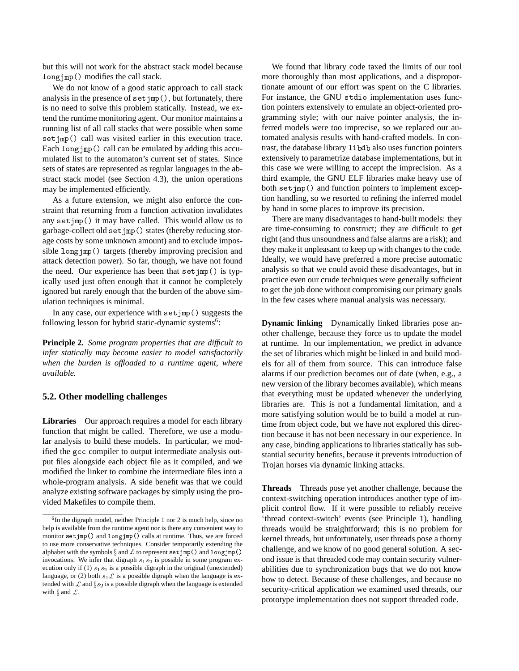but this will not work for the abstract stack model because long jmp() modifies the call stack.

We do not know of a good static approach to call stack analysis in the presence of  $set_jmp()$ , but fortunately, there is no need to solve this problem statically. Instead, we extend the runtime monitoring agent. Our monitor maintains a running list of all call stacks that were possible when some set imp() call was visited earlier in this execution trace. Each  $\text{longimp}()$  call can be emulated by adding this accumulated list to the automaton's current set of states. Since sets of states are represented as regular languages in the abstract stack model (see Section 4.3), the union operations may be implemented efficiently.

As a future extension, we might also enforce the constraint that returning from a function activation invalidates any  $set$   $jmp()$  it may have called. This would allow us to garbage-collect old set jmp () states (thereby reducing storage costs by some unknown amount) and to exclude impossible longjmp() targets (thereby improving precision and attack detection power). So far, though, we have not found the need. Our experience has been that setjmp() is typically used just often enough that it cannot be completely ignored but rarely enough that the burden of the above simulation techniques is minimal.

In any case, our experience with set jmp () suggests the following lesson for hybrid static-dynamic systems<sup>6</sup>:

**Principle 2.** *Some program properties that are difficult to infer statically may become easier to model satisfactorily when the burden is offloaded to a runtime agent, where available.*

#### **5.2. Other modelling challenges**

**Libraries** Our approach requires a model for each library function that might be called. Therefore, we use a modular analysis to build these models. In particular, we modified the gcc compiler to output intermediate analysis output files alongside each object file as it compiled, and we modified the linker to combine the intermediate files into a whole-program analysis. A side benefit was that we could analyze existing software packages by simply using the provided Makefiles to compile them.

We found that library code taxed the limits of our tool more thoroughly than most applications, and a disproportionate amount of our effort was spent on the C libraries. For instance, the GNU stdio implementation uses function pointers extensively to emulate an object-oriented programming style; with our naive pointer analysis, the inferred models were too imprecise, so we replaced our automated analysis results with hand-crafted models. In contrast, the database library 1 ibdb also uses function pointers extensively to parametrize database implementations, but in this case we were willing to accept the imprecision. As a third example, the GNU ELF libraries make heavy use of both  $set_jmp()$  and function pointers to implement exception handling, so we resorted to refining the inferred model by hand in some places to improve its precision.

There are many disadvantages to hand-built models: they are time-consuming to construct; they are difficult to get right (and thus unsoundness and false alarms are a risk); and they make it unpleasant to keep up with changes to the code. Ideally, we would have preferred a more precise automatic analysis so that we could avoid these disadvantages, but in practice even our crude techniques were generally sufficient to get the job done without compromising our primary goals in the few cases where manual analysis was necessary.

**Dynamic linking** Dynamically linked libraries pose another challenge, because they force us to update the model at runtime. In our implementation, we predict in advance the set of libraries which might be linked in and build models for all of them from source. This can introduce false alarms if our prediction becomes out of date (when, e.g., a new version of the library becomes available), which means that everything must be updated whenever the underlying libraries are. This is not a fundamental limitation, and a more satisfying solution would be to build a model at runtime from object code, but we have not explored this direction because it has not been necessary in our experience. In any case, binding applications to libraries statically has substantial security benefits, because it prevents introduction of Trojan horses via dynamic linking attacks.

**Threads** Threads pose yet another challenge, because the context-switching operation introduces another type of implicit control flow. If it were possible to reliably receive 'thread context-switch' events (see Principle 1), handling threads would be straightforward; this is no problem for kernel threads, but unfortunately, user threads pose a thorny challenge, and we know of no good general solution. A second issue is that threaded code may contain security vulnerabilities due to synchronization bugs that we do not know how to detect. Because of these challenges, and because no security-critical application we examined used threads, our prototype implementation does not support threaded code.

<sup>&</sup>lt;sup>6</sup>In the digraph model, neither Principle 1 nor 2 is much help, since no help is available from the runtime agent nor is there any convenient way to monitor setjmp() and longjmp() calls at runtime. Thus, we are forced to use more conservative techniques. Consider temporarily extending the alphabet with the symbols  $\S$  and  $\mathcal L$  to represent set jmp () and long jmp () invocations. We infer that digraph  $s_1 s_2$  is possible in some program execution only if (1)  $s_1 s_2$  is a possible digraph in the original (unextended) language, or (2) both  $s_1 \mathcal{L}$  is a possible digraph when the language is extended with  $\mathcal L$  and  $\S s_2$  is a possible digraph when the language is extended with  $\S$  and  $\mathcal{L}$ .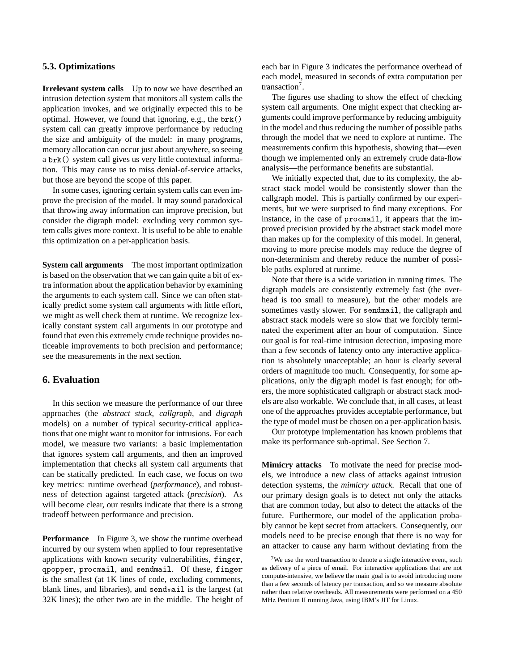### **5.3. Optimizations**

**Irrelevant system calls** Up to now we have described an intrusion detection system that monitors all system calls the application invokes, and we originally expected this to be optimal. However, we found that ignoring, e.g., the brk() system call can greatly improve performance by reducing the size and ambiguity of the model: in many programs, memory allocation can occur just about anywhere, so seeing a brk () system call gives us very little contextual information. This may cause us to miss denial-of-service attacks, but those are beyond the scope of this paper.

In some cases, ignoring certain system calls can even improve the precision of the model. It may sound paradoxical that throwing away information can improve precision, but consider the digraph model: excluding very common system calls gives more context. It is useful to be able to enable this optimization on a per-application basis.

**System call arguments** The most important optimization is based on the observation that we can gain quite a bit of extra information about the application behavior by examining the arguments to each system call. Since we can often statically predict some system call arguments with little effort, we might as well check them at runtime. We recognize lexically constant system call arguments in our prototype and found that even this extremely crude technique provides noticeable improvements to both precision and performance; see the measurements in the next section.

## **6. Evaluation**

In this section we measure the performance of our three approaches (the *abstract stack*, *callgraph*, and *digraph* models) on a number of typical security-critical applications that one might want to monitor for intrusions. For each model, we measure two variants: a basic implementation that ignores system call arguments, and then an improved implementation that checks all system call arguments that can be statically predicted. In each case, we focus on two key metrics: runtime overhead (*performance*), and robustness of detection against targeted attack (*precision*). As will become clear, our results indicate that there is a strong tradeoff between performance and precision.

**Performance** In Figure 3, we show the runtime overhead incurred by our system when applied to four representative applications with known security vulnerabilities, finger, qpopper, procmail, and sendmail. Of these, finger as delit is the smallest (at 1K lines of code, excluding comments, blank lines, and libraries), and sendmail is the largest (at 32K lines); the other two are in the middle. The height of

each bar in Figure 3 indicates the performance overhead of each model, measured in seconds of extra computation per transaction<sup>7</sup>.

The figures use shading to show the effect of checking system call arguments. One might expect that checking arguments could improve performance by reducing ambiguity in the model and thus reducing the number of possible paths through the model that we need to explore at runtime. The measurements confirm this hypothesis, showing that—even though we implemented only an extremely crude data-flow analysis—the performance benefits are substantial.

We initially expected that, due to its complexity, the abstract stack model would be consistently slower than the callgraph model. This is partially confirmed by our experiments, but we were surprised to find many exceptions. For instance, in the case of procmail, it appears that the improved precision provided by the abstract stack model more than makes up for the complexity of this model. In general, moving to more precise models may reduce the degree of non-determinism and thereby reduce the number of possible paths explored at runtime.

Note that there is a wide variation in running times. The digraph models are consistently extremely fast (the overhead is too small to measure), but the other models are sometimes vastly slower. For sendmail, the callgraph and abstract stack models were so slow that we forcibly terminated the experiment after an hour of computation. Since our goal is for real-time intrusion detection, imposing more than a few seconds of latency onto any interactive application is absolutely unacceptable; an hour is clearly several orders of magnitude too much. Consequently, for some applications, only the digraph model is fast enough; for others, the more sophisticated callgraph or abstract stack models are also workable. We conclude that, in all cases, at least one of the approaches provides acceptable performance, but the type of model must be chosen on a per-application basis.

Our prototype implementation has known problems that make its performance sub-optimal. See Section 7.

**Mimicry attacks** To motivate the need for precise models, we introduce a new class of attacks against intrusion detection systems, the *mimicry attack*. Recall that one of our primary design goals is to detect not only the attacks that are common today, but also to detect the attacks of the future. Furthermore, our model of the application probably cannot be kept secret from attackers. Consequently, our models need to be precise enough that there is no way for an attacker to cause any harm without deviating from the

We use the word transaction to denote a single interactive event, such as delivery of a piece of email. For interactive applications that are not compute-intensive, we believe the main goal is to avoid introducing more than a few seconds of latency per transaction, and so we measure absolute rather than relative overheads. All measurements were performed on a 450 MHz Pentium II running Java, using IBM's JIT for Linux.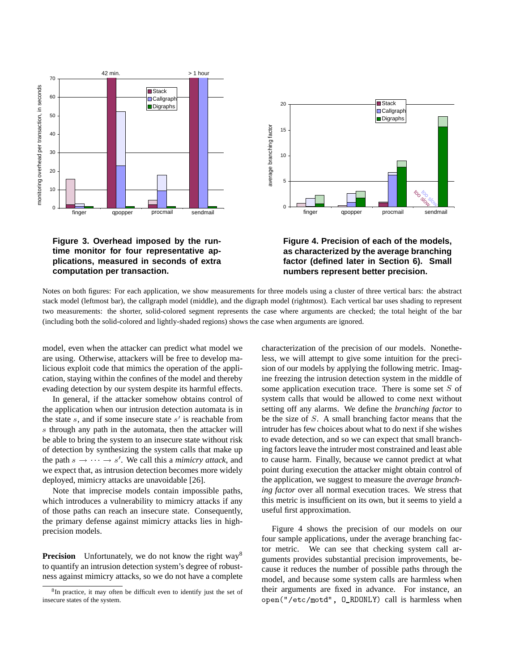



**Figure 3. Overhead imposed by the runtime monitor for four representative applications, measured in seconds of extra computation per transaction.**

**Figure 4. Precision of each of the models, as characterized by the average branching factor (defined later in Section 6). Small numbers represent better precision.**

Notes on both figures: For each application, we show measurements for three models using a cluster of three vertical bars: the abstract stack model (leftmost bar), the callgraph model (middle), and the digraph model (rightmost). Each vertical bar uses shading to represent two measurements: the shorter, solid-colored segment represents the case where arguments are checked; the total height of the bar (including both the solid-colored and lightly-shaded regions) shows the case when arguments are ignored.

model, even when the attacker can predict what model we are using. Otherwise, attackers will be free to develop malicious exploit code that mimics the operation of the application, staying within the confines of the model and thereby evading detection by our system despite its harmful effects.

In general, if the attacker somehow obtains control of the application when our intrusion detection automata is in the state  $s$ , and if some insecure state  $s'$  is reachable from  $s$  through any path in the automata, then the attacker will be able to bring the system to an insecure state without risk of detection by synthesizing the system calls that make up the path  $s \to \cdots \to s'$ . We call this a *mimicry attack*, and we expect that, as intrusion detection becomes more widely deployed, mimicry attacks are unavoidable [26].

Note that imprecise models contain impossible paths, which introduces a vulnerability to mimicry attacks if any of those paths can reach an insecure state. Consequently, the primary defense against mimicry attacks lies in highprecision models.

**Precision** Unfortunately, we do not know the right way<sup>8</sup> to quantify an intrusion detection system's degree of robustness against mimicry attacks, so we do not have a complete characterization of the precision of our models. Nonetheless, we will attempt to give some intuition for the precision of our models by applying the following metric. Imagine freezing the intrusion detection system in the middle of some application execution trace. There is some set  $S$  of system calls that would be allowed to come next without setting off any alarms. We define the *branching factor* to be the size of  $S$ . A small branching factor means that the intruder has few choices about what to do next if she wishes to evade detection, and so we can expect that small branching factors leave the intruder most constrained and least able to cause harm. Finally, because we cannot predict at what point during execution the attacker might obtain control of the application, we suggest to measure the *average branching factor* over all normal execution traces. We stress that this metric is insufficient on its own, but it seems to yield a useful first approximation.

Figure 4 shows the precision of our models on our four sample applications, under the average branching factor metric. We can see that checking system call arguments provides substantial precision improvements, because it reduces the number of possible paths through the model, and because some system calls are harmless when their arguments are fixed in advance. For instance, an open("/etc/motd", O\_RDONLY) call is harmless when

<sup>&</sup>lt;sup>8</sup>In practice, it may often be difficult even to identify just the set of insecure states of the system.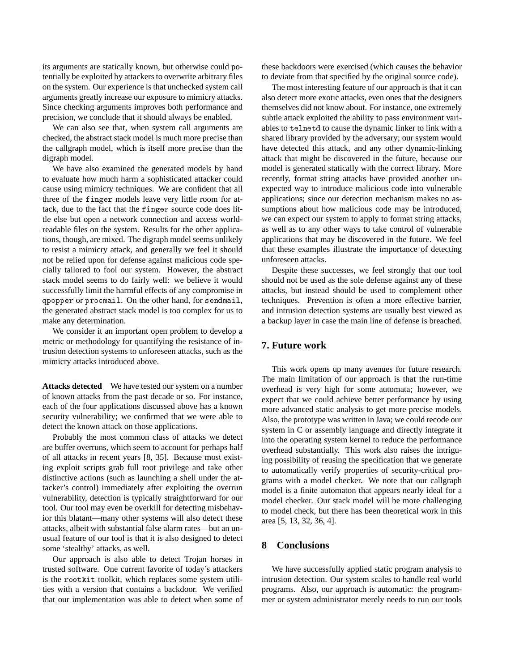its arguments are statically known, but otherwise could potentially be exploited by attackers to overwrite arbitrary files on the system. Our experience is that unchecked system call arguments greatly increase our exposure to mimicry attacks. Since checking arguments improves both performance and precision, we conclude that it should always be enabled.

We can also see that, when system call arguments are checked, the abstract stack model is much more precise than the callgraph model, which is itself more precise than the digraph model.

We have also examined the generated models by hand to evaluate how much harm a sophisticated attacker could cause using mimicry techniques. We are confident that all three of the finger models leave very little room for attack, due to the fact that the finger source code does little else but open a network connection and access worldreadable files on the system. Results for the other applications, though, are mixed. The digraph model seems unlikely to resist a mimicry attack, and generally we feel it should not be relied upon for defense against malicious code specially tailored to fool our system. However, the abstract stack model seems to do fairly well: we believe it would successfully limit the harmful effects of any compromise in qpopper or procmail. On the other hand, for sendmail, the generated abstract stack model is too complex for us to make any determination.

We consider it an important open problem to develop a metric or methodology for quantifying the resistance of intrusion detection systems to unforeseen attacks, such as the mimicry attacks introduced above.

**Attacks detected** We have tested our system on a number of known attacks from the past decade or so. For instance, each of the four applications discussed above has a known security vulnerability; we confirmed that we were able to detect the known attack on those applications.

Probably the most common class of attacks we detect are buffer overruns, which seem to account for perhaps half of all attacks in recent years [8, 35]. Because most existing exploit scripts grab full root privilege and take other distinctive actions (such as launching a shell under the attacker's control) immediately after exploiting the overrun vulnerability, detection is typically straightforward for our tool. Our tool may even be overkill for detecting misbehavior this blatant—many other systems will also detect these attacks, albeit with substantial false alarm rates—but an unusual feature of our tool is that it is also designed to detect some 'stealthy' attacks, as well.

Our approach is also able to detect Trojan horses in trusted software. One current favorite of today's attackers is the rootkit toolkit, which replaces some system utilities with a version that contains a backdoor. We verified that our implementation was able to detect when some of these backdoors were exercised (which causes the behavior to deviate from that specified by the original source code).

The most interesting feature of our approach is that it can also detect more exotic attacks, even ones that the designers themselves did not know about. For instance, one extremely subtle attack exploited the ability to pass environment variables to telnetd to cause the dynamic linker to link with a shared library provided by the adversary; our system would have detected this attack, and any other dynamic-linking attack that might be discovered in the future, because our model is generated statically with the correct library. More recently, format string attacks have provided another unexpected way to introduce malicious code into vulnerable applications; since our detection mechanism makes no assumptions about how malicious code may be introduced, we can expect our system to apply to format string attacks, as well as to any other ways to take control of vulnerable applications that may be discovered in the future. We feel that these examples illustrate the importance of detecting unforeseen attacks.

Despite these successes, we feel strongly that our tool should not be used as the sole defense against any of these attacks, but instead should be used to complement other techniques. Prevention is often a more effective barrier, and intrusion detection systems are usually best viewed as a backup layer in case the main line of defense is breached.

# **7. Future work**

This work opens up many avenues for future research. The main limitation of our approach is that the run-time overhead is very high for some automata; however, we expect that we could achieve better performance by using more advanced static analysis to get more precise models. Also, the prototype was written in Java; we could recode our system in C or assembly language and directly integrate it into the operating system kernel to reduce the performance overhead substantially. This work also raises the intriguing possibility of reusing the specification that we generate to automatically verify properties of security-critical programs with a model checker. We note that our callgraph model is a finite automaton that appears nearly ideal for a model checker. Our stack model will be more challenging to model check, but there has been theoretical work in this area [5, 13, 32, 36, 4].

## **8 Conclusions**

We have successfully applied static program analysis to intrusion detection. Our system scales to handle real world programs. Also, our approach is automatic: the programmer or system administrator merely needs to run our tools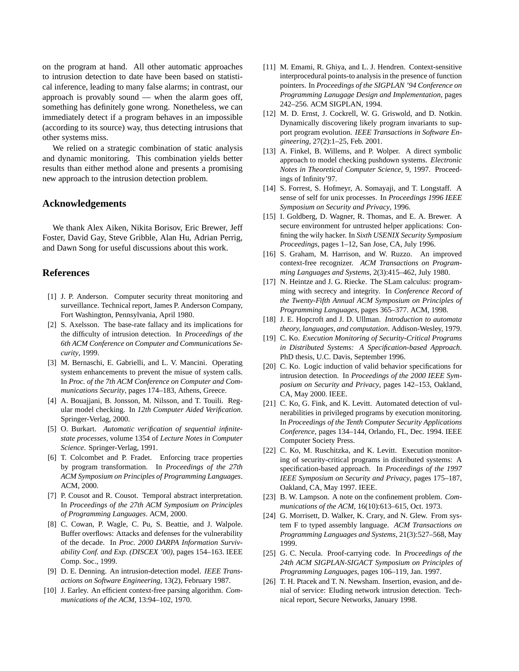on the program at hand. All other automatic approaches to intrusion detection to date have been based on statistical inference, leading to many false alarms; in contrast, our approach is provably sound — when the alarm goes off, something has definitely gone wrong. Nonetheless, we can immediately detect if a program behaves in an impossible (according to its source) way, thus detecting intrusions that other systems miss.

We relied on a strategic combination of static analysis and dynamic monitoring. This combination yields better results than either method alone and presents a promising new approach to the intrusion detection problem.

#### **Acknowledgements**

We thank Alex Aiken, Nikita Borisov, Eric Brewer, Jeff Foster, David Gay, Steve Gribble, Alan Hu, Adrian Perrig, and Dawn Song for useful discussions about this work.

### **References**

- [1] J. P. Anderson. Computer security threat monitoring and surveillance. Technical report, James P. Anderson Company, Fort Washington, Pennsylvania, April 1980.
- [2] S. Axelsson. The base-rate fallacy and its implications for the difficulty of intrusion detection. In *Proceedings of the 6th ACM Conference on Computer and Communications Security*, 1999.
- [3] M. Bernaschi, E. Gabrielli, and L. V. Mancini. Operating system enhancements to prevent the misue of system calls. In *Proc. of the 7th ACM Conference on Computer and Communications Security*, pages 174–183, Athens, Greece.
- [4] A. Bouajjani, B. Jonsson, M. Nilsson, and T. Touili. Regular model checking. In *12th Computer Aided Verification*. Springer-Verlag, 2000.
- [5] O. Burkart. *Automatic verification of sequential infinitestate processes*, volume 1354 of *Lecture Notes in Computer Science*. Springer-Verlag, 1991.
- [6] T. Colcombet and P. Fradet. Enforcing trace properties by program transformation. In *Proceedings of the 27th ACM Symposium on Principles of Programming Languages*. ACM, 2000.
- [7] P. Cousot and R. Cousot. Temporal abstract interpretation. In *Proceedings of the 27th ACM Symposium on Principles of Programming Languages*. ACM, 2000.
- [8] C. Cowan, P. Wagle, C. Pu, S. Beattie, and J. Walpole. Buffer overflows: Attacks and defenses for the vulnerability of the decade. In *Proc. 2000 DARPA Information Survivability Conf. and Exp. (DISCEX '00)*, pages 154–163. IEEE Comp. Soc., 1999.
- [9] D. E. Denning. An intrusion-detection model. *IEEE Transactions on Software Engineering*, 13(2), February 1987.
- [10] J. Earley. An efficient context-free parsing algorithm. *Communications of the ACM*, 13:94–102, 1970.
- [11] M. Emami, R. Ghiya, and L. J. Hendren. Context-sensitive interprocedural points-to analysis in the presence of function pointers. In *Proceedings of the SIGPLAN '94 Conference on Programming Lanugage Design and Implementation*, pages 242–256. ACM SIGPLAN, 1994.
- [12] M. D. Ernst, J. Cockrell, W. G. Griswold, and D. Notkin. Dynamically discovering likely program invariants to support program evolution. *IEEE Transactions in Software Engineering*, 27(2):1–25, Feb. 2001.
- [13] A. Finkel, B. Willems, and P. Wolper. A direct symbolic approach to model checking pushdown systems. *Electronic Notes in Theoretical Computer Science*, 9, 1997. Proceedings of Infinity'97.
- [14] S. Forrest, S. Hofmeyr, A. Somayaji, and T. Longstaff. A sense of self for unix processes. In *Proceedings 1996 IEEE Symposium on Security and Privacy*, 1996.
- [15] I. Goldberg, D. Wagner, R. Thomas, and E. A. Brewer. A secure environment for untrusted helper applications: Confining the wily hacker. In *Sixth USENIX Security Symposium Proceedings*, pages 1–12, San Jose, CA, July 1996.
- [16] S. Graham, M. Harrison, and W. Ruzzo. An improved context-free recognizer. *ACM Transactions on Programming Languages and Systems*, 2(3):415–462, July 1980.
- [17] N. Heintze and J. G. Riecke. The SLam calculus: programming with secrecy and integrity. In *Conference Record of the Twenty-Fifth Annual ACM Symposium on Principles of Programming Languages*, pages 365–377. ACM, 1998.
- [18] J. E. Hopcroft and J. D. Ullman. *Introduction to automata theory, languages, and computation*. Addison-Wesley, 1979.
- [19] C. Ko. *Execution Monitoring of Security-Critical Programs in Distributed Systems: A Specification-based Approach*. PhD thesis, U.C. Davis, September 1996.
- [20] C. Ko. Logic induction of valid behavior specifications for intrusion detection. In *Proceedings of the 2000 IEEE Symposium on Security and Privacy*, pages 142–153, Oakland, CA, May 2000. IEEE.
- [21] C. Ko, G. Fink, and K. Levitt. Automated detection of vulnerabilities in privileged programs by execution monitoring. In *Proceedings of the Tenth Computer Security Applications Conference*, pages 134–144, Orlando, FL, Dec. 1994. IEEE Computer Society Press.
- [22] C. Ko, M. Ruschitzka, and K. Levitt. Execution monitoring of security-critical programs in distributed systems: A specification-based approach. In *Proceedings of the 1997 IEEE Symposium on Security and Privacy*, pages 175–187, Oakland, CA, May 1997. IEEE.
- [23] B. W. Lampson. A note on the confinement problem. *Communications of the ACM*, 16(10):613–615, Oct. 1973.
- [24] G. Morrisett, D. Walker, K. Crary, and N. Glew. From system F to typed assembly language. *ACM Transactions on Programming Languages and Systems*, 21(3):527–568, May 1999.
- [25] G. C. Necula. Proof-carrying code. In *Proceedings of the 24th ACM SIGPLAN-SIGACT Symposium on Principles of Programming Languages*, pages 106–119, Jan. 1997.
- [26] T. H. Ptacek and T. N. Newsham. Insertion, evasion, and denial of service: Eluding network intrusion detection. Technical report, Secure Networks, January 1998.